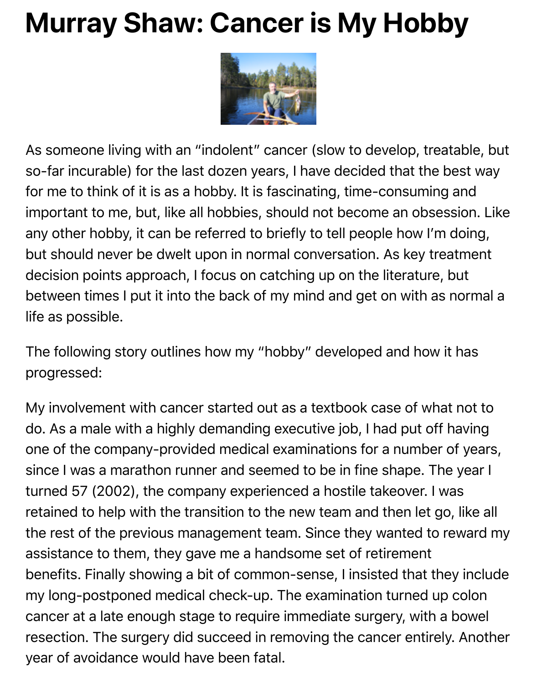

As someone living with an "indolent" cancer (slow to develop, treata so-far incurable) for the last dozen years, I have decided that the be for me to think of it is as a hobby. It is fascinating, time-consuming and important to me, but, like all hobbies, should not become an obsess any other hobby, it can be referred to briefly to tell people how I'm c but should never be dwelt upon in normal conversation. As key treat decision points approach, I focus on catching up on the literature, b between times I put it into the back of my mind and get on with as no life as possible.

The following story outlines how my "hobby" developed and how it progressed:

My involvement with cancer started out as a textbook case of what do. As a male with a highly demanding executive job, I had put off h one of the company-provided medical examinations for a number of since I was a marathon runner and seemed to be in fine shape. The turned 57 (2002), the company experienced a hostile takeover. I wa retained to help with the transition to the new team and then let go, the rest of the previous management team. Since they wanted to re assistance to them, they gave me a handsome set of retirement benefits. Finally showing a bit of common-sense, I insisted that they my long-postponed medical check-up. The examination turned up o cancer at a late enough stage to require immediate surgery, with a k resection. The surgery did succeed in removing the cancer entirely. year of avoidance would have been fatal.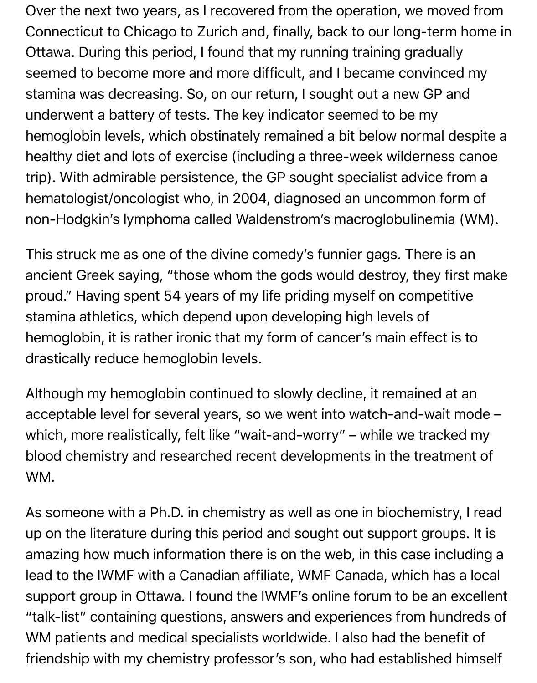Over the next two years, as I recovered from the operation, we moved from Connecticut to Chicago to Zurich and, finally, back to our long-term home in Ottawa. During this period, I found that my running training gradually seemed to become more and more difficult, and I became convinced my stamina was decreasing. So, on our return, I sought out a new GP and underwent a battery of tests. The key indicator seemed to be my hemoglobin levels, which obstinately remained a bit below normal despite a healthy diet and lots of exercise (including a three-week wilderness canoe trip). With admirable persistence, the GP sought specialist advice from a hematologist/oncologist who, in 2004, diagnosed an uncommon form of non-Hodgkin's lymphoma called Waldenstrom's macroglobulinemia (WM).

This struck me as one of the divine comedy's funnier gags. There is an ancient Greek saying, "those whom the gods would destroy, they first make proud." Having spent 54 years of my life priding myself on competitive stamina athletics, which depend upon developing high levels of hemoglobin, it is rather ironic that my form of cancer's main effect is to drastically reduce hemoglobin levels.

Although my hemoglobin continued to slowly decline, it remained at an acceptable level for several years, so we went into watch-and-wait mode – which, more realistically, felt like "wait-and-worry" – while we tracked my blood chemistry and researched recent developments in the treatment of WM.

As someone with a Ph.D. in chemistry as well as one in biochemistry, I read up on the literature during this period and sought out support groups. It is amazing how much information there is on the web, in this case including a lead to the IWMF with a Canadian affiliate, WMF Canada, which has a local support group in Ottawa. I found the IWMF's online forum to be an excellent "talk-list" containing questions, answers and experiences from hundreds of WM patients and medical specialists worldwide. I also had the benefit of friendship with my chemistry professor's son, who had established himself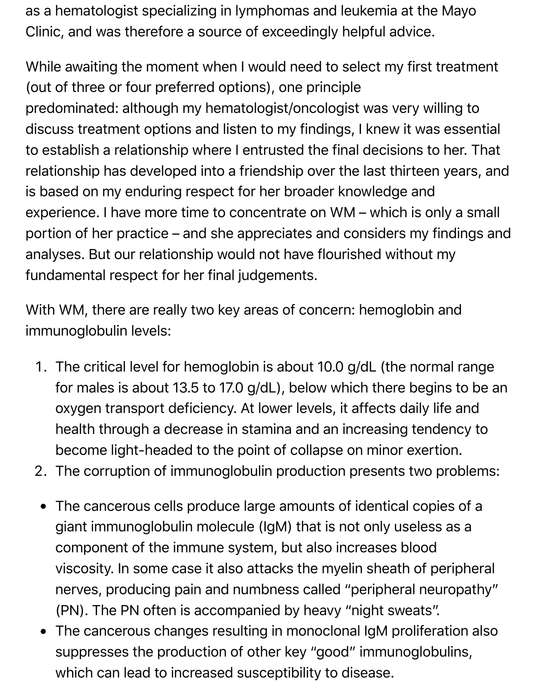as a hematologist specializing in lymphomas and leukemia at the Mayo Clinic, and was therefore a source of exceedingly helpful advice.

While awaiting the moment when I would need to select my first treatment (out of three or four preferred options), one principle predominated: although my hematologist/oncologist was very willing to discuss treatment options and listen to my findings, I knew it was essential to establish a relationship where I entrusted the final decisions to her. That relationship has developed into a friendship over the last thirteen years, and is based on my enduring respect for her broader knowledge and experience. I have more time to concentrate on WM – which is only a small portion of her practice – and she appreciates and considers my findings and analyses. But our relationship would not have flourished without my fundamental respect for her final judgements.

With WM, there are really two key areas of concern: hemoglobin and immunoglobulin levels:

- 1. The critical level for hemoglobin is about 10.0 g/dL (the normal range for males is about 13.5 to 17.0 g/dL), below which there begins to be an oxygen transport deficiency. At lower levels, it affects daily life and health through a decrease in stamina and an increasing tendency to become light-headed to the point of collapse on minor exertion.
- 2. The corruption of immunoglobulin production presents two problems:
- The cancerous cells produce large amounts of identical copies of a  $\bullet$ giant immunoglobulin molecule (IgM) that is not only useless as a component of the immune system, but also increases blood viscosity. In some case it also attacks the myelin sheath of peripheral nerves, producing pain and numbness called "peripheral neuropathy" (PN). The PN often is accompanied by heavy "night sweats".
- The cancerous changes resulting in monoclonal IgM proliferation also  $\bullet$ suppresses the production of other key "good" immunoglobulins, which can lead to increased susceptibility to disease.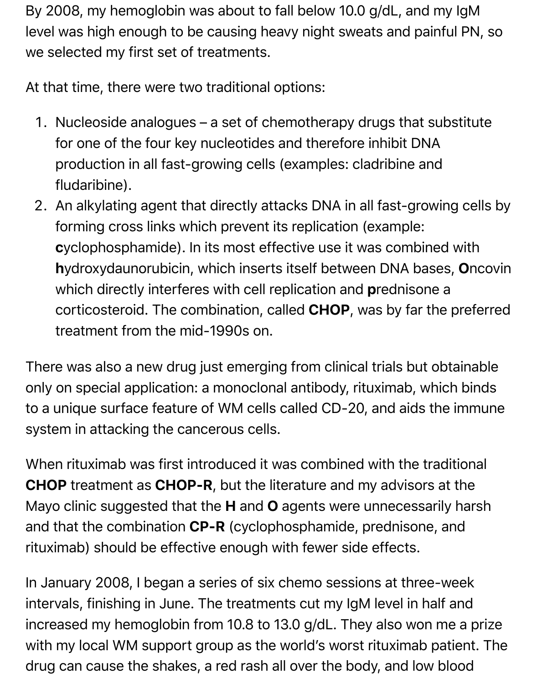By 2008, my hemoglobin was about to fall below 10.0 g/dL, and my IgM level was high enough to be causing heavy night sweats and painful PN, so we selected my first set of treatments.

At that time, there were two traditional options:

- 1. Nucleoside analogues a set of chemotherapy drugs that substitute for one of the four key nucleotides and therefore inhibit DNA production in all fast-growing cells (examples: cladribine and fludaribine).
- 2. An alkylating agent that directly attacks DNA in all fast-growing cells by forming cross links which prevent its replication (example: cyclophosphamide). In its most effective use it was combined with hydroxydaunorubicin, which inserts itself between DNA bases, Oncovin which directly interferes with cell replication and prednisone a corticosteroid. The combination, called CHOP, was by far the preferred treatment from the mid-1990s on.

There was also a new drug just emerging from clinical trials but obtainable only on special application: a monoclonal antibody, rituximab, which binds to a unique surface feature of WM cells called CD-20, and aids the immune system in attacking the cancerous cells.

When rituximab was first introduced it was combined with the traditional CHOP treatment as CHOP-R, but the literature and my advisors at the Mayo clinic suggested that the H and O agents were unnecessarily harsh and that the combination CP-R (cyclophosphamide, prednisone, and rituximab) should be effective enough with fewer side effects.

In January 2008, I began a series of six chemo sessions at three-week intervals, finishing in June. The treatments cut my IgM level in half and increased my hemoglobin from 10.8 to 13.0 g/dL. They also won me a prize with my local WM support group as the world's worst rituximab patient. The drug can cause the shakes, a red rash all over the body, and low blood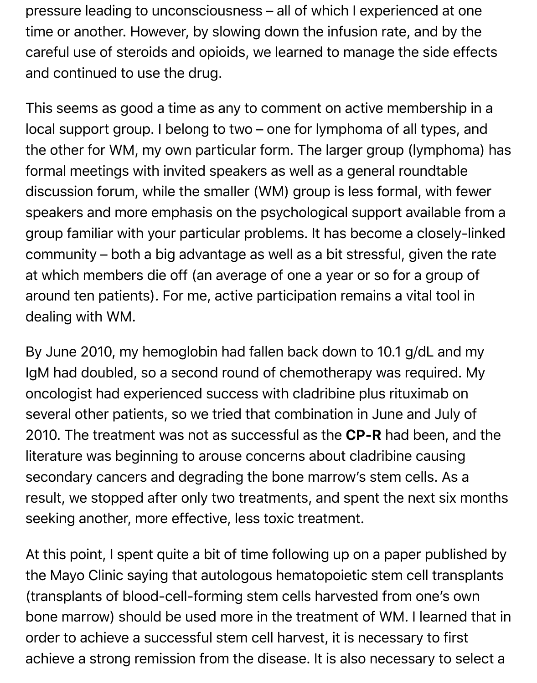pressure leading to unconsciousness – all of which I experienced at one time or another. However, by slowing down the infusion rate, and by the careful use of steroids and opioids, we learned to manage the side effects and continued to use the drug.

This seems as good a time as any to comment on active membership in a local support group. I belong to two – one for lymphoma of all types, and the other for WM, my own particular form. The larger group (lymphoma) has formal meetings with invited speakers as well as a general roundtable discussion forum, while the smaller (WM) group is less formal, with fewer speakers and more emphasis on the psychological support available from a group familiar with your particular problems. It has become a closely-linked community – both a big advantage as well as a bit stressful, given the rate at which members die off (an average of one a year or so for a group of around ten patients). For me, active participation remains a vital tool in dealing with WM.

By June 2010, my hemoglobin had fallen back down to 10.1 g/dL and my IgM had doubled, so a second round of chemotherapy was required. My oncologist had experienced success with cladribine plus rituximab on several other patients, so we tried that combination in June and July of 2010. The treatment was not as successful as the CP-R had been, and the literature was beginning to arouse concerns about cladribine causing secondary cancers and degrading the bone marrow's stem cells. As a result, we stopped after only two treatments, and spent the next six months seeking another, more effective, less toxic treatment.

At this point, I spent quite a bit of time following up on a paper published by the Mayo Clinic saying that autologous hematopoietic stem cell transplants (transplants of blood-cell-forming stem cells harvested from one's own bone marrow) should be used more in the treatment of WM. I learned that in order to achieve a successful stem cell harvest, it is necessary to first achieve a strong remission from the disease. It is also necessary to select a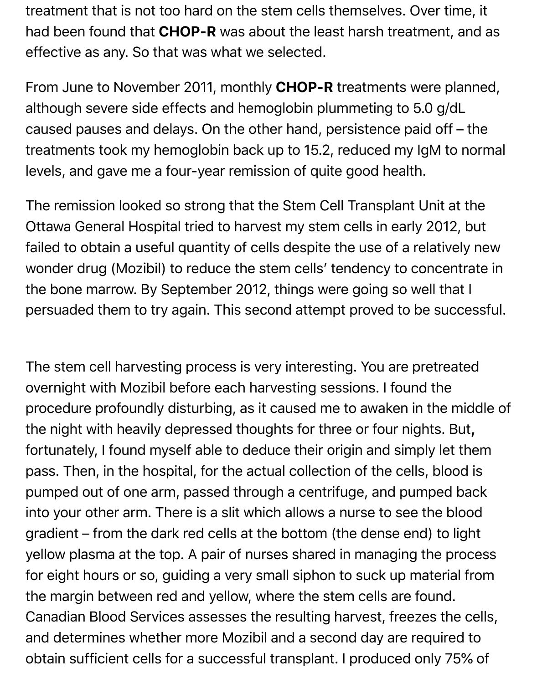treatment that is not too hard on the stem cells themselves. Over time, it had been found that CHOP-R was about the least harsh treatment, and as effective as any. So that was what we selected.

From June to November 2011, monthly CHOP-R treatments were planned, although severe side effects and hemoglobin plummeting to 5.0 g/dL caused pauses and delays. On the other hand, persistence paid off – the treatments took my hemoglobin back up to 15.2, reduced my IgM to normal levels, and gave me a four-year remission of quite good health.

The remission looked so strong that the Stem Cell Transplant Unit at the Ottawa General Hospital tried to harvest my stem cells in early 2012, but failed to obtain a useful quantity of cells despite the use of a relatively new wonder drug (Mozibil) to reduce the stem cells' tendency to concentrate in the bone marrow. By September 2012, things were going so well that I persuaded them to try again. This second attempt proved to be successful.

The stem cell harvesting process is very interesting. You are pretreated overnight with Mozibil before each harvesting sessions. I found the procedure profoundly disturbing, as it caused me to awaken in the middle of the night with heavily depressed thoughts for three or four nights. But, fortunately, I found myself able to deduce their origin and simply let them pass. Then, in the hospital, for the actual collection of the cells, blood is pumped out of one arm, passed through a centrifuge, and pumped back into your other arm. There is a slit which allows a nurse to see the blood gradient – from the dark red cells at the bottom (the dense end) to light yellow plasma at the top. A pair of nurses shared in managing the process for eight hours or so, guiding a very small siphon to suck up material from the margin between red and yellow, where the stem cells are found. Canadian Blood Services assesses the resulting harvest, freezes the cells, and determines whether more Mozibil and a second day are required to obtain sufficient cells for a successful transplant. I produced only 75% of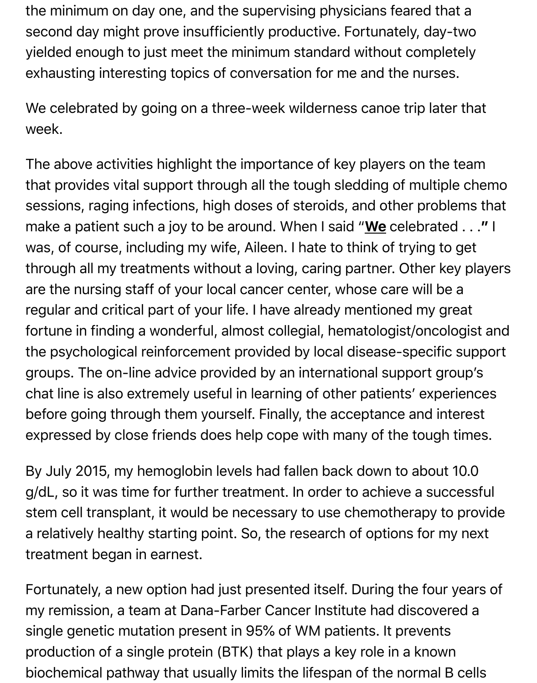the minimum on day one, and the supervising physicians feared that a second day might prove insufficiently productive. Fortunately, day-two yielded enough to just meet the minimum standard without completely exhausting interesting topics of conversation for me and the nurses.

We celebrated by going on a three-week wilderness canoe trip later that week.

The above activities highlight the importance of key players on the team that provides vital support through all the tough sledding of multiple chemo sessions, raging infections, high doses of steroids, and other problems that make a patient such a joy to be around. When I said "We celebrated . . ." I was, of course, including my wife, Aileen. I hate to think of trying to get through all my treatments without a loving, caring partner. Other key players are the nursing staff of your local cancer center, whose care will be a regular and critical part of your life. I have already mentioned my great fortune in finding a wonderful, almost collegial, hematologist/oncologist and the psychological reinforcement provided by local disease-specific support groups. The on-line advice provided by an international support group's chat line is also extremely useful in learning of other patients' experiences before going through them yourself. Finally, the acceptance and interest expressed by close friends does help cope with many of the tough times.

By July 2015, my hemoglobin levels had fallen back down to about 10.0 g/dL, so it was time for further treatment. In order to achieve a successful stem cell transplant, it would be necessary to use chemotherapy to provide a relatively healthy starting point. So, the research of options for my next treatment began in earnest.

Fortunately, a new option had just presented itself. During the four years of my remission, a team at Dana-Farber Cancer Institute had discovered a single genetic mutation present in 95% of WM patients. It prevents production of a single protein (BTK) that plays a key role in a known biochemical pathway that usually limits the lifespan of the normal B cells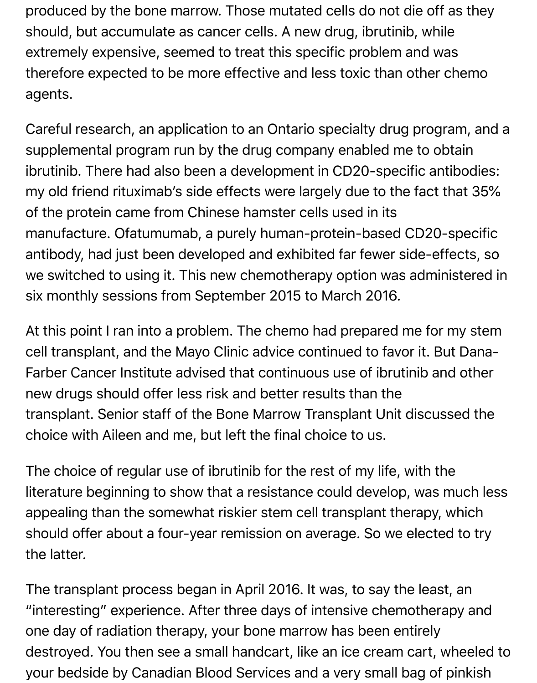produced by the bone marrow. Those mutated cells do not die off as they should, but accumulate as cancer cells. A new drug, ibrutinib, while extremely expensive, seemed to treat this specific problem and was therefore expected to be more effective and less toxic than other chemo agents.

Careful research, an application to an Ontario specialty drug program, and a supplemental program run by the drug company enabled me to obtain ibrutinib. There had also been a development in CD20-specific antibodies: my old friend rituximab's side effects were largely due to the fact that 35% of the protein came from Chinese hamster cells used in its manufacture. Ofatumumab, a purely human-protein-based CD20-specific antibody, had just been developed and exhibited far fewer side-effects, so we switched to using it. This new chemotherapy option was administered in six monthly sessions from September 2015 to March 2016.

At this point I ran into a problem. The chemo had prepared me for my stem cell transplant, and the Mayo Clinic advice continued to favor it. But Dana-Farber Cancer Institute advised that continuous use of ibrutinib and other new drugs should offer less risk and better results than the transplant. Senior staff of the Bone Marrow Transplant Unit discussed the choice with Aileen and me, but left the final choice to us.

The choice of regular use of ibrutinib for the rest of my life, with the literature beginning to show that a resistance could develop, was much less appealing than the somewhat riskier stem cell transplant therapy, which should offer about a four-year remission on average. So we elected to try the latter.

The transplant process began in April 2016. It was, to say the least, an "interesting" experience. After three days of intensive chemotherapy and one day of radiation therapy, your bone marrow has been entirely destroyed. You then see a small handcart, like an ice cream cart, wheeled to your bedside by Canadian Blood Services and a very small bag of pinkish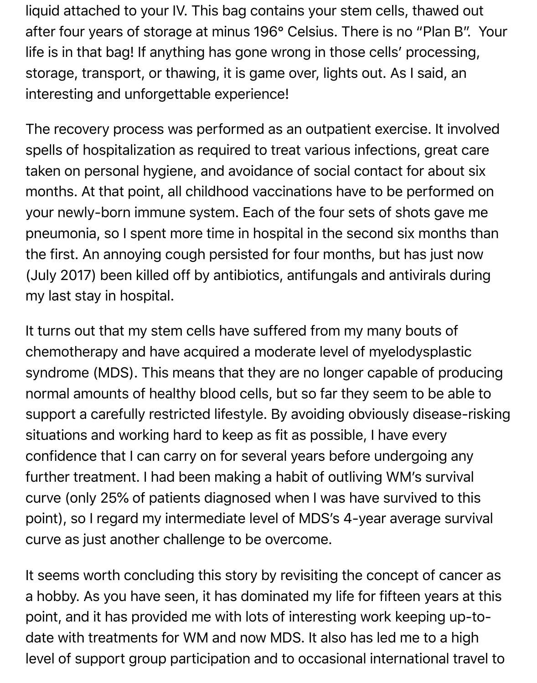liquid attached to your IV. This bag contains your stem cells, thawed out after four years of storage at minus 196° Celsius. There is no "Plan B". Your life is in that bag! If anything has gone wrong in those cells' processing, storage, transport, or thawing, it is game over, lights out. As I said, an interesting and unforgettable experience!

The recovery process was performed as an outpatient exercise. It involved spells of hospitalization as required to treat various infections, great care taken on personal hygiene, and avoidance of social contact for about six months. At that point, all childhood vaccinations have to be performed on your newly-born immune system. Each of the four sets of shots gave me pneumonia, so I spent more time in hospital in the second six months than the first. An annoying cough persisted for four months, but has just now (July 2017) been killed off by antibiotics, antifungals and antivirals during my last stay in hospital.

It turns out that my stem cells have suffered from my many bouts of chemotherapy and have acquired a moderate level of myelodysplastic syndrome (MDS). This means that they are no longer capable of producing normal amounts of healthy blood cells, but so far they seem to be able to support a carefully restricted lifestyle. By avoiding obviously disease-risking situations and working hard to keep as fit as possible, I have every confidence that I can carry on for several years before undergoing any further treatment. I had been making a habit of outliving WM's survival curve (only 25% of patients diagnosed when I was have survived to this point), so I regard my intermediate level of MDS's 4-year average survival curve as just another challenge to be overcome.

It seems worth concluding this story by revisiting the concept of cancer as a hobby. As you have seen, it has dominated my life for fifteen years at this point, and it has provided me with lots of interesting work keeping up-todate with treatments for WM and now MDS. It also has led me to a high level of support group participation and to occasional international travel to